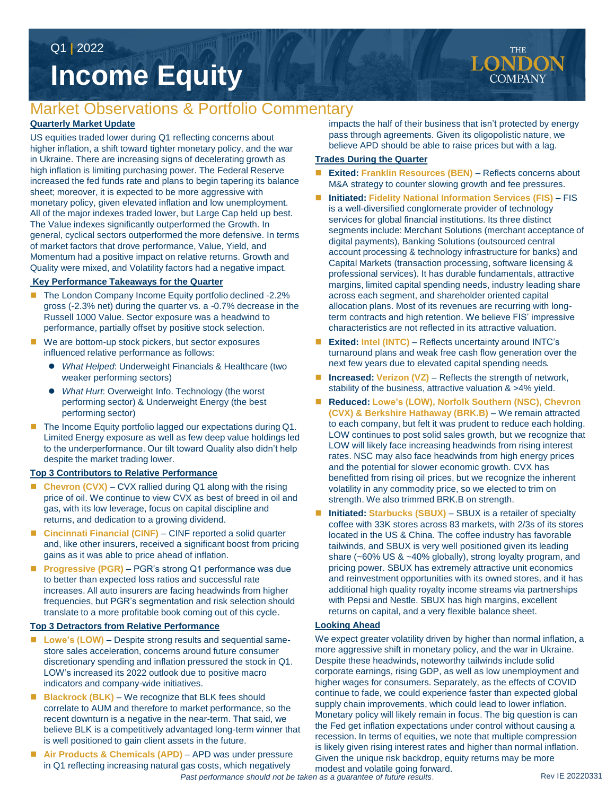Q1 **|** 2022

# **Income Equity**

## Market Observations & Portfolio Commentary

#### **Quarterly Market Update**

US equities traded lower during Q1 reflecting concerns about higher inflation, a shift toward tighter monetary policy, and the war in Ukraine. There are increasing signs of decelerating growth as high inflation is limiting purchasing power. The Federal Reserve increased the fed funds rate and plans to begin tapering its balance sheet; moreover, it is expected to be more aggressive with monetary policy, given elevated inflation and low unemployment. All of the major indexes traded lower, but Large Cap held up best. The Value indexes significantly outperformed the Growth. In general, cyclical sectors outperformed the more defensive. In terms of market factors that drove performance, Value, Yield, and Momentum had a positive impact on relative returns. Growth and Quality were mixed, and Volatility factors had a negative impact.

#### **Key Performance Takeaways for the Quarter**

- The London Company Income Equity portfolio declined -2.2% gross (-2.3% net) during the quarter vs. a -0.7% decrease in the Russell 1000 Value. Sector exposure was a headwind to performance, partially offset by positive stock selection.
- We are bottom-up stock pickers, but sector exposures influenced relative performance as follows:
	- *What Helped*: Underweight Financials & Healthcare (two weaker performing sectors)
	- *What Hurt*: Overweight Info. Technology (the worst performing sector) & Underweight Energy (the best performing sector)
- The Income Equity portfolio lagged our expectations during Q1. Limited Energy exposure as well as few deep value holdings led to the underperformance. Our tilt toward Quality also didn't help despite the market trading lower.

#### **Top 3 Contributors to Relative Performance**

- Chevron (CVX) CVX rallied during Q1 along with the rising price of oil. We continue to view CVX as best of breed in oil and gas, with its low leverage, focus on capital discipline and returns, and dedication to a growing dividend.
- Cincinnati Financial (CINF) CINF reported a solid quarter and, like other insurers, received a significant boost from pricing gains as it was able to price ahead of inflation.
- Progressive (PGR) PGR's strong Q1 performance was due to better than expected loss ratios and successful rate increases. All auto insurers are facing headwinds from higher frequencies, but PGR's segmentation and risk selection should translate to a more profitable book coming out of this cycle.

#### **Top 3 Detractors from Relative Performance**

- Lowe's (LOW) Despite strong results and sequential samestore sales acceleration, concerns around future consumer discretionary spending and inflation pressured the stock in Q1. LOW's increased its 2022 outlook due to positive macro indicators and company-wide initiatives.
- **Blackrock (BLK)**  We recognize that BLK fees should correlate to AUM and therefore to market performance, so the recent downturn is a negative in the near-term. That said, we believe BLK is a competitively advantaged long-term winner that is well positioned to gain client assets in the future.
- Air Products & Chemicals (APD) APD was under pressure in Q1 reflecting increasing natural gas costs, which negatively

impacts the half of their business that isn't protected by energy pass through agreements. Given its oligopolistic nature, we believe APD should be able to raise prices but with a lag.

#### **Trades During the Quarter**

- **Exited: Franklin Resources (BEN)** Reflects concerns about M&A strategy to counter slowing growth and fee pressures.
- Initiated: Fidelity National Information Services (FIS) FIS is a well-diversified conglomerate provider of technology services for global financial institutions. Its three distinct segments include: Merchant Solutions (merchant acceptance of digital payments), Banking Solutions (outsourced central account processing & technology infrastructure for banks) and Capital Markets (transaction processing, software licensing & professional services). It has durable fundamentals, attractive margins, limited capital spending needs, industry leading share across each segment, and shareholder oriented capital allocation plans. Most of its revenues are recurring with longterm contracts and high retention. We believe FIS' impressive characteristics are not reflected in its attractive valuation.
- Exited: Intel (INTC) Reflects uncertainty around INTC's turnaround plans and weak free cash flow generation over the next few years due to elevated capital spending needs.
- Increased: Verizon (VZ) Reflects the strength of network, stability of the business, attractive valuation & >4% yield.
- Reduced: Lowe's (LOW), Norfolk Southern (NSC), Chevron **(CVX) & Berkshire Hathaway (BRK.B)** – We remain attracted to each company, but felt it was prudent to reduce each holding. LOW continues to post solid sales growth, but we recognize that LOW will likely face increasing headwinds from rising interest rates. NSC may also face headwinds from high energy prices and the potential for slower economic growth. CVX has benefitted from rising oil prices, but we recognize the inherent volatility in any commodity price, so we elected to trim on strength. We also trimmed BRK.B on strength.
- Initiated: Starbucks (SBUX) SBUX is a retailer of specialty coffee with 33K stores across 83 markets, with 2/3s of its stores located in the US & China. The coffee industry has favorable tailwinds, and SBUX is very well positioned given its leading share (~60% US & ~40% globally), strong loyalty program, and pricing power. SBUX has extremely attractive unit economics and reinvestment opportunities with its owned stores, and it has additional high quality royalty income streams via partnerships with Pepsi and Nestle. SBUX has high margins, excellent returns on capital, and a very flexible balance sheet.

#### **Looking Ahead**

We expect greater volatility driven by higher than normal inflation, a more aggressive shift in monetary policy, and the war in Ukraine. Despite these headwinds, noteworthy tailwinds include solid corporate earnings, rising GDP, as well as low unemployment and higher wages for consumers. Separately, as the effects of COVID continue to fade, we could experience faster than expected global supply chain improvements, which could lead to lower inflation. Monetary policy will likely remain in focus. The big question is can the Fed get inflation expectations under control without causing a recession. In terms of equities, we note that multiple compression is likely given rising interest rates and higher than normal inflation. Given the unique risk backdrop, equity returns may be more

modest and volatile going forward. *Past performance should not be taken as a guarantee of future results*.